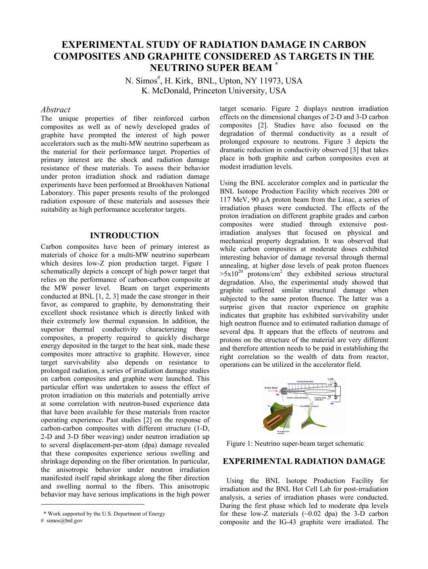# **EXPERIMENTAL STUDY OF RADIATION DAMAGE IN CARBON COMPOSITES AND GRAPHITE CONSIDERED AS TARGETS IN THE NEUTRINO SUPER BEAM \***

N. Simos<sup>#</sup>, H. Kirk, BNL, Upton, NY 11973, USA K. McDonald, Princeton University, USA

#### *Abstract*

The unique properties of fiber reinforced carbon composites as well as of newly developed grades of graphite have prompted the interest of high power accelerators such as the multi-MW neutrino superbeam as the material for their performance target. Properties of primary interest are the shock and radiation damage resistance of these materials. To assess their behavior under proton irradiation shock and radiation damage experiments have been performed at Brookhaven National Laboratory. This paper presents results of the prolonged radiation exposure of these materials and assesses their suitability as high performance accelerator targets.

### **INTRODUCTION**

Carbon composites have been of primary interest as materials of choice for a multi-MW neutrino superbeam which desires low-Z pion production target. Figure 1 schematically depicts a concept of high power target that relies on the performance of carbon-carbon composite at the MW power level. Beam on target experiments conducted at BNL [1, 2, 3] made the case stronger in their favor, as compared to graphite, by demonstrating their excellent shock resistance which is directly linked with their extremely low thermal expansion. In addition, the superior thermal conductivity characterizing these composites, a property required to quickly discharge energy deposited in the target to the heat sink, made these composites more attractive to graphite. However, since target survivability also depends on resistance to prolonged radiation, a series of irradiation damage studies on carbon composites and graphite were launched. This particular effort was undertaken to assess the effect of proton irradiation on this materials and potentially arrive at some correlation with neutron-based experience data that have been available for these materials from reactor operating experience. Past studies [2] on the response of carbon-carbon composites with different structure (1-D, 2-D and 3-D fiber weaving) under neutron irradiation up to several displacement-per-atom (dpa) damage revealed that these composites experience serious swelling and shrinkage depending on the fiber orientation. In particular, the anisotropic behavior under neutron irradiation manifested itself rapid shrinkage along the fiber direction and swelling normal to the fibers. This anisotropic behavior may have serious implications in the high power

 $\overline{a}$ 

target scenario. Figure 2 displays neutron irradiation effects on the dimensional changes of 2-D and 3-D carbon composites [2]. Studies have also focused on the degradation of thermal conductivity as a result of prolonged exposure to neutrons. Figure 3 depicts the dramatic reduction in conductivity observed [3] that takes place in both graphite and carbon composites even at modest irradiation levels.

Using the BNL accelerator complex and in particular the BNL Isotope Production Facility which receives 200 or 117 MeV, 90 µA proton beam from the Linac, a series of irradiation phases were conducted. The effects of the proton irradiation on different graphite grades and carbon composites were studied through extensive postirradiation analyses that focused on physical and mechanical property degradation. It was observed that while carbon composites at moderate doses exhibited interesting behavior of damage reversal through thermal annealing, at higher dose levels of peak proton fluences  $>5x10^{20}$  protons/cm<sup>2</sup> they exhibited serious structural degradation. Also, the experimental study showed that graphite suffered similar structural damage when subjected to the same proton fluence. The latter was a surprise given that reactor experience on graphite indicates that graphite has exhibited survivability under high neutron fluence and to estimated radiation damage of several dpa. It appears that the effects of neutrons and protons on the structure of the material are very different and therefore attention needs to be paid in establishing the right correlation so the wealth of data from reactor, operations can be utilized in the accelerator field.



Figure 1: Neutrino super-beam target schematic

## **EXPERIMENTAL RADIATION DAMAGE**

Using the BNL Isotope Production Facility for irradiation and the BNL Hot Cell Lab for post-irradiation analysis, a series of irradiation phases were conducted. During the first phase which led to moderate dpa levels for these low-Z materials  $(\sim 0.02$  dpa) the 3-D carbon composite and the IG-43 graphite were irradiated. The

 <sup>\*</sup> Work supported by the U.S. Department of Energy

<sup>#</sup> simos@bnl.gov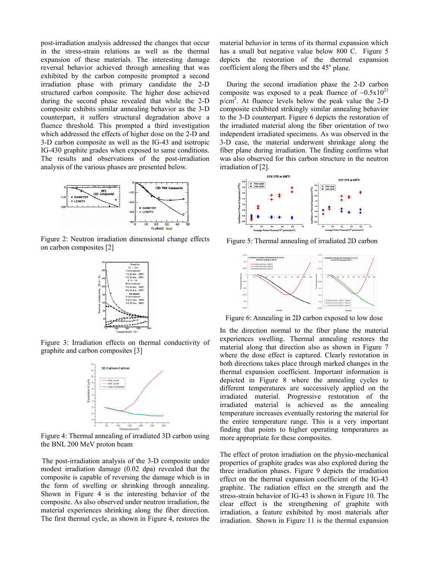post-irradiation analysis addressed the changes that occur in the stress-strain relations as well as the thermal expansion of these materials. The interesting damage reversal behavior achieved through annealing that was exhibited by the carbon composite prompted a second irradiation phase with primary candidate the 2-D structured carbon composite. The higher dose achieved during the second phase revealed that while the 2-D composite exhibits similar annealing behavior as the 3-D counterpart, it suffers structural degradation above a fluence threshold. This prompted a third investigation which addressed the effects of higher dose on the 2-D and 3-D carbon composite as well as the IG-43 and isotropic IG-430 graphite grades when exposed to same conditions. The results and observations of the post-irradiation analysis of the various phases are presented below.



Figure 2: Neutron irradiation dimensional change effects on carbon composites [2]



Figure 3: Irradiation effects on thermal conductivity of graphite and carbon composites [3]



Figure 4: Thermal annealing of irradiated 3D carbon using the BNL 200 MeV proton beam

The post-irradiation analysis of the 3-D composite under modest irradiation damage (0.02 dpa) revealed that the composite is capable of reversing the damage which is in the form of swelling or shrinking through annealing. Shown in Figure 4 is the interesting behavior of the composite. As also observed under neutron irradiation, the material experiences shrinking along the fiber direction. The first thermal cycle, as shown in Figure 4, restores the

material behavior in terms of its thermal expansion which has a small but negative value below 800 C. Figure 5 depicts the restoration of the thermal expansion coefficient along the fibers and the 45<sup>°</sup> plane.

During the second irradiation phase the 2-D carbon composite was exposed to a peak fluence of  $\sim 0.5x10^{21}$  $p/cm<sup>2</sup>$ . At fluence levels below the peak value the 2-D composite exhibited strikingly similar annealing behavior to the 3-D counterpart. Figure 6 depicts the restoration of the irradiated material along the fiber orientation of two independent irradiated specimens. As was observed in the 3-D case, the material underwent shrinkage along the fiber plane during irradiation. The finding confirms what was also observed for this carbon structure in the neutron irradiation of [2].



Figure 5: Thermal annealing of irradiated 2D carbon



Figure 6: Annealing in 2D carbon exposed to low dose

In the direction normal to the fiber plane the material experiences swelling. Thermal annealing restores the material along that direction also as shown in Figure 7 where the dose effect is captured. Clearly restoration in both directions takes place through marked changes in the thermal expansion coefficient. Important information is depicted in Figure 8 where the annealing cycles to different temperatures are successively applied on the irradiated material. Progressive restoration of the irradiated material is achieved as the annealing temperature increases eventually restoring the material for the entire temperature range. This is a very important finding that points to higher operating temperatures as more appropriate for these composites.

The effect of proton irradiation on the physio-mechanical properties of graphite grades was also explored during the three irradiation phases. Figure 9 depicts the irradiation effect on the thermal expansion coefficient of the IG-43 graphite. The radiation effect on the strength and the stress-strain behavior of IG-43 is shown in Figure 10. The clear effect is the strengthening of graphite with irradiation, a feature exhibited by most materials after irradiation. Shown in Figure 11 is the thermal expansion